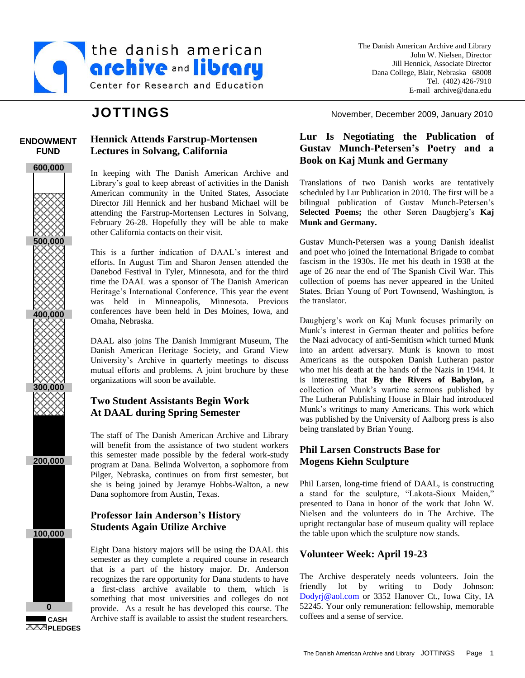

**Hennick Attends Farstrup-Mortensen**

In keeping with The Danish American Archive and Library's goal to keep abreast of activities in the Danish American community in the United States, Associate Director Jill Hennick and her husband Michael will be attending the Farstrup-Mortensen Lectures in Solvang, February 26-28. Hopefully they will be able to make

This is a further indication of DAAL's interest and efforts. In August Tim and Sharon Jensen attended the Danebod Festival in Tyler, Minnesota, and for the third time the DAAL was a sponsor of The Danish American Heritage's International Conference. This year the event was held in Minneapolis, Minnesota. Previous conferences have been held in Des Moines, Iowa, and

DAAL also joins The Danish Immigrant Museum, The Danish American Heritage Society, and Grand View University's Archive in quarterly meetings to discuss mutual efforts and problems. A joint brochure by these

The staff of The Danish American Archive and Library will benefit from the assistance of two student workers this semester made possible by the federal work-study program at Dana. Belinda Wolverton, a sophomore from Pilger, Nebraska, continues on from first semester, but she is being joined by Jeramye Hobbs-Walton, a new

Eight Dana history majors will be using the DAAL this semester as they complete a required course in research that is a part of the history major. Dr. Anderson recognizes the rare opportunity for Dana students to have a first-class archive available to them, which is something that most universities and colleges do not provide. As a result he has developed this course. The Archive staff is available to assist the student researchers.

**Lectures in Solvang, California**

other California contacts on their visit.

organizations will soon be available.

Dana sophomore from Austin, Texas.

**Professor Iain Anderson's History Students Again Utilize Archive**

**Two Student Assistants Begin Work At DAAL during Spring Semester**

Omaha, Nebraska.

### **ENDOWMENT FUND**







**CASH PLEDGES**

The Danish American Archive and Library John W. Nielsen, Director Jill Hennick, Associate Director Dana College, Blair, Nebraska 68008 Tel. (402) 426-7910 E-mail archive@dana.edu

**JOTTINGS** November, December 2009, January 2010

# **Lur Is Negotiating the Publication of Gustav Munch-Petersen's Poetry and a Book on Kaj Munk and Germany**

Translations of two Danish works are tentatively scheduled by Lur Publication in 2010. The first will be a bilingual publication of Gustav Munch-Petersen's **Selected Poems;** the other Søren Daugbjerg's **Kaj Munk and Germany.**

Gustav Munch-Petersen was a young Danish idealist and poet who joined the International Brigade to combat fascism in the 1930s. He met his death in 1938 at the age of 26 near the end of The Spanish Civil War. This collection of poems has never appeared in the United States. Brian Young of Port Townsend, Washington, is the translator.

Daugbjerg's work on Kaj Munk focuses primarily on Munk's interest in German theater and politics before the Nazi advocacy of anti-Semitism which turned Munk into an ardent adversary. Munk is known to most Americans as the outspoken Danish Lutheran pastor who met his death at the hands of the Nazis in 1944. It is interesting that **By the Rivers of Babylon,** a collection of Munk's wartime sermons published by The Lutheran Publishing House in Blair had introduced Munk's writings to many Americans. This work which was published by the University of Aalborg press is also being translated by Brian Young.

## **Phil Larsen Constructs Base for Mogens Kiehn Sculpture**

Phil Larsen, long-time friend of DAAL, is constructing a stand for the sculpture, "Lakota-Sioux Maiden," presented to Dana in honor of the work that John W. Nielsen and the volunteers do in The Archive. The upright rectangular base of museum quality will replace the table upon which the sculpture now stands.

## **Volunteer Week: April 19-23**

The Archive desperately needs volunteers. Join the friendly lot by writing to Dody Johnson: [Dodyrj@aol.com](mailto:Dodyrj@aol.com) or 3352 Hanover Ct., Iowa City, IA 52245. Your only remuneration: fellowship, memorable coffees and a sense of service.

The Danish American Archive and Library JOTTINGS Page 1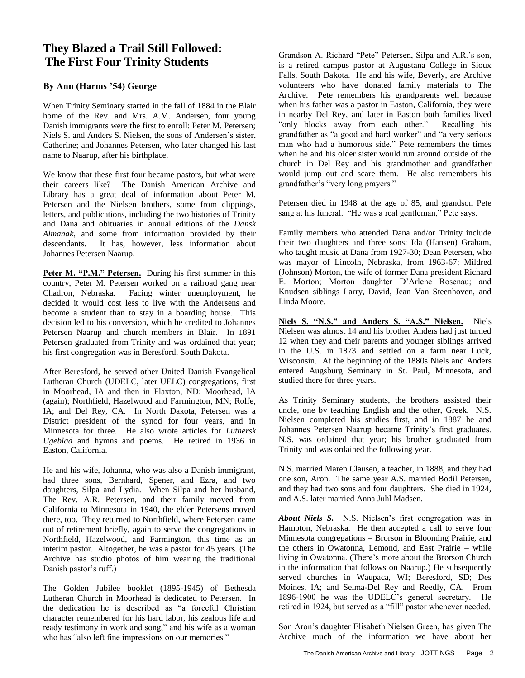# **They Blazed a Trail Still Followed: The First Four Trinity Students**

# By Ann (Harms '54) George

When Trinity Seminary started in the fall of 1884 in the Blair home of the Rev. and Mrs. A.M. Andersen, four young Danish immigrants were the first to enroll: Peter M. Petersen; Niels S. and Anders S. Nielsen, the sons of Andersen's sister, Catherine; and Johannes Petersen, who later changed his last name to Naarup, after his birthplace.

We know that these first four became pastors, but what were their careers like? The Danish American Archive and Library has a great deal of information about Peter M. Petersen and the Nielsen brothers, some from clippings, letters, and publications, including the two histories of Trinity and Dana and obituaries in annual editions of the *Dansk Almanak*, and some from information provided by their descendants. It has, however, less information about Johannes Petersen Naarup.

**Peter M. "P.M." Petersen.** During his first summer in this country, Peter M. Petersen worked on a railroad gang near Chadron, Nebraska. Facing winter unemployment, he decided it would cost less to live with the Andersens and become a student than to stay in a boarding house. This decision led to his conversion, which he credited to Johannes Petersen Naarup and church members in Blair. In 1891 Petersen graduated from Trinity and was ordained that year; his first congregation was in Beresford, South Dakota.

After Beresford, he served other United Danish Evangelical Lutheran Church (UDELC, later UELC) congregations, first in Moorhead, IA and then in Flaxton, ND; Moorhead, IA (again); Northfield, Hazelwood and Farmington, MN; Rolfe, IA; and Del Rey, CA. In North Dakota, Petersen was a District president of the synod for four years, and in Minnesota for three. He also wrote articles for *Luthersk Ugeblad* and hymns and poems. He retired in 1936 in Easton, California.

He and his wife, Johanna, who was also a Danish immigrant, had three sons, Bernhard, Spener, and Ezra, and two daughters, Silpa and Lydia. When Silpa and her husband, The Rev. A.R. Petersen, and their family moved from California to Minnesota in 1940, the elder Petersens moved there, too. They returned to Northfield, where Petersen came out of retirement briefly, again to serve the congregations in Northfield, Hazelwood, and Farmington, this time as an interim pastor. Altogether, he was a pastor for 45 years. (The Archive has studio photos of him wearing the traditional Danish pastor's ruff.)

The Golden Jubilee booklet (1895-1945) of Bethesda Lutheran Church in Moorhead is dedicated to Petersen. In the dedication he is described as "a forceful Christian character remembered for his hard labor, his zealous life and ready testimony in work and song," and his wife as a woman who has "also left fine impressions on our memories."

Grandson A. Richard "Pete" Petersen, Silpa and A.R.'s son, is a retired campus pastor at Augustana College in Sioux Falls, South Dakota. He and his wife, Beverly, are Archive volunteers who have donated family materials to The Archive. Pete remembers his grandparents well because when his father was a pastor in Easton, California, they were in nearby Del Rey, and later in Easton both families lived "only blocks away from each other." Recalling his grandfather as "a good and hard worker" and "a very serious man who had a humorous side," Pete remembers the times when he and his older sister would run around outside of the church in Del Rey and his grandmother and grandfather would jump out and scare them. He also remembers his grandfather's "very long prayers."

Petersen died in 1948 at the age of 85, and grandson Pete sang at his funeral. "He was a real gentleman," Pete says.

Family members who attended Dana and/or Trinity include their two daughters and three sons; Ida (Hansen) Graham, who taught music at Dana from 1927-30; Dean Petersen, who was mayor of Lincoln, Nebraska, from 1963-67; Mildred (Johnson) Morton, the wife of former Dana president Richard E. Morton; Morton daughter D'Arlene Rosenau; and Knudsen siblings Larry, David, Jean Van Steenhoven, and Linda Moore.

**Niels S. "N.S." and Anders S. "A.S." Nielsen.** Niels Nielsen was almost 14 and his brother Anders had just turned 12 when they and their parents and younger siblings arrived in the U.S. in 1873 and settled on a farm near Luck, Wisconsin. At the beginning of the 1880s Niels and Anders entered Augsburg Seminary in St. Paul, Minnesota, and studied there for three years.

As Trinity Seminary students, the brothers assisted their uncle, one by teaching English and the other, Greek. N.S. Nielsen completed his studies first, and in 1887 he and Johannes Petersen Naarup became Trinity's first graduates. N.S. was ordained that year; his brother graduated from Trinity and was ordained the following year.

N.S. married Maren Clausen, a teacher, in 1888, and they had one son, Aron. The same year A.S. married Bodil Petersen, and they had two sons and four daughters. She died in 1924, and A.S. later married Anna Juhl Madsen.

*About Niels S.* N.S. Nielsen's first congregation was in Hampton, Nebraska. He then accepted a call to serve four Minnesota congregations – Brorson in Blooming Prairie, and the others in Owatonna, Lemond, and East Prairie – while living in Owatonna. (There's more about the Brorson Church in the information that follows on Naarup.) He subsequently served churches in Waupaca, WI; Beresford, SD; Des Moines, IA; and Selma-Del Rey and Reedly, CA. From 1896-1900 he was the UDELC's general secretary. He retired in 1924, but served as a "fill" pastor whenever needed.

Son Aron's daughter Elisabeth Nielsen Green, has given The Archive much of the information we have about her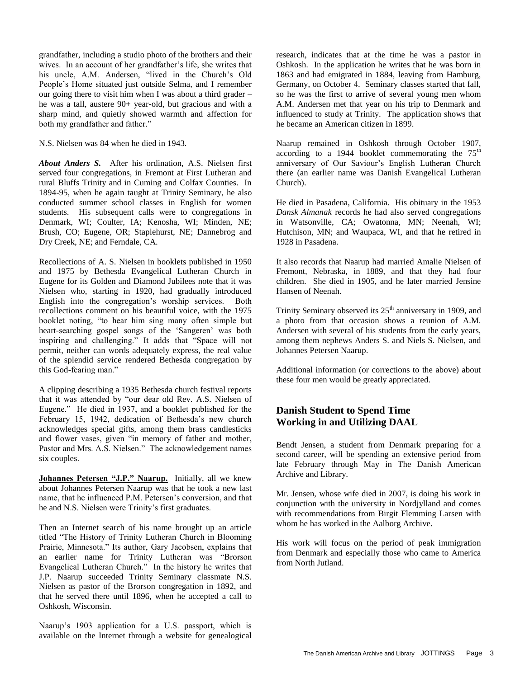People's Home situated just outside Selma, and I remember grandfather, including a studio photo of the brothers and their wives. In an account of her grandfather's life, she writes that his uncle, A.M. Andersen, "lived in the Church's Old our going there to visit him when I was about a third grader – he was a tall, austere 90+ year-old, but gracious and with a sharp mind, and quietly showed warmth and affection for both my grandfather and father."

N.S. Nielsen was 84 when he died in 1943.

*About Anders S.* After his ordination, A.S. Nielsen first served four congregations, in Fremont at First Lutheran and rural Bluffs Trinity and in Cuming and Colfax Counties. In 1894-95, when he again taught at Trinity Seminary, he also conducted summer school classes in English for women students. His subsequent calls were to congregations in Denmark, WI; Coulter, IA; Kenosha, WI; Minden, NE; Brush, CO; Eugene, OR; Staplehurst, NE; Dannebrog and Dry Creek, NE; and Ferndale, CA.

Recollections of A. S. Nielsen in booklets published in 1950 and 1975 by Bethesda Evangelical Lutheran Church in Eugene for its Golden and Diamond Jubilees note that it was Nielsen who, starting in 1920, had gradually introduced English into the congregation's worship services. Both recollections comment on his beautiful voice, with the 1975 booklet noting, "to hear him sing many often simple but heart-searching gospel songs of the 'Sangeren' was both inspiring and challenging." It adds that "Space will not permit, neither can words adequately express, the real value of the splendid service rendered Bethesda congregation by this God-fearing man."

A clipping describing a 1935 Bethesda church festival reports that it was attended by "our dear old Rev. A.S. Nielsen of Eugene." He died in 1937, and a booklet published for the February 15, 1942, dedication of Bethesda's new church acknowledges special gifts, among them brass candlesticks and flower vases, given "in memory of father and mother, Pastor and Mrs. A.S. Nielsen." The acknowledgement names six couples.

**Johannes Petersen "J.P." Naarup.** Initially, all we knew about Johannes Petersen Naarup was that he took a new last name, that he influenced P.M. Petersen's conversion, and that he and N.S. Nielsen were Trinity's first graduates.

Then an Internet search of his name brought up an article titled "The History of Trinity Lutheran Church in Blooming Prairie, Minnesota." Its author, Gary Jacobsen, explains that an earlier name for Trinity Lutheran was "Brorson Evangelical Lutheran Church." In the history he writes that J.P. Naarup succeeded Trinity Seminary classmate N.S. Nielsen as pastor of the Brorson congregation in 1892, and that he served there until 1896, when he accepted a call to Oshkosh, Wisconsin.

Naarup's 1903 application for a U.S. passport, which is available on the Internet through a website for genealogical

research, indicates that at the time he was a pastor in Oshkosh. In the application he writes that he was born in 1863 and had emigrated in 1884, leaving from Hamburg, Germany, on October 4. Seminary classes started that fall, so he was the first to arrive of several young men whom A.M. Andersen met that year on his trip to Denmark and influenced to study at Trinity. The application shows that he became an American citizen in 1899.

Naarup remained in Oshkosh through October 1907, according to a 1944 booklet commemorating the  $75<sup>th</sup>$ anniversary of Our Saviour's English Lutheran Church there (an earlier name was Danish Evangelical Lutheran Church).

He died in Pasadena, California. His obituary in the 1953 *Dansk Almanak* records he had also served congregations in Watsonville, CA; Owatonna, MN; Neenah, WI; Hutchison, MN; and Waupaca, WI, and that he retired in 1928 in Pasadena.

It also records that Naarup had married Amalie Nielsen of Fremont, Nebraska, in 1889, and that they had four children. She died in 1905, and he later married Jensine Hansen of Neenah.

Trinity Seminary observed its  $25<sup>th</sup>$  anniversary in 1909, and a photo from that occasion shows a reunion of A.M. Andersen with several of his students from the early years, among them nephews Anders S. and Niels S. Nielsen, and Johannes Petersen Naarup.

Additional information (or corrections to the above) about these four men would be greatly appreciated.

## **Danish Student to Spend Time Working in and Utilizing DAAL**

Bendt Jensen, a student from Denmark preparing for a second career, will be spending an extensive period from late February through May in The Danish American Archive and Library.

Mr. Jensen, whose wife died in 2007, is doing his work in conjunction with the university in Nordjylland and comes with recommendations from Birgit Flemming Larsen with whom he has worked in the Aalborg Archive.

His work will focus on the period of peak immigration from Denmark and especially those who came to America from North Jutland.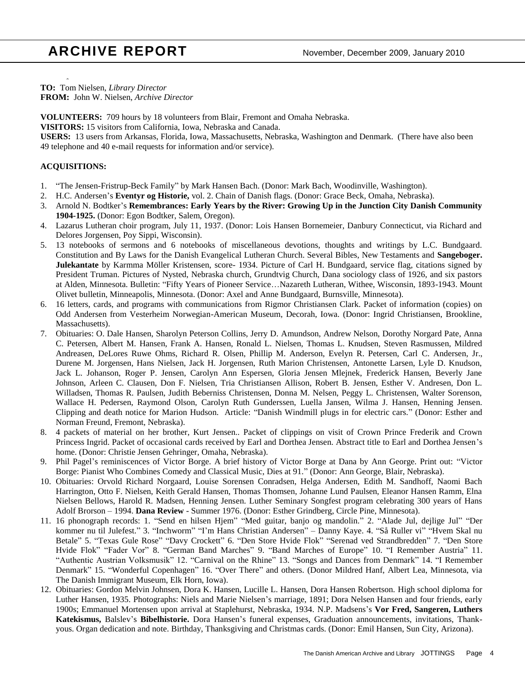# **ARCHIVE REPORT** November, December 2009, January 2010

å **TO:** Tom Nielsen, *Library Director* **FROM:** John W. Nielsen, *Archive Director*

**VOLUNTEERS:** 709 hours by 18 volunteers from Blair, Fremont and Omaha Nebraska.

**VISITORS:** 15 visitors from California, Iowa, Nebraska and Canada.

**USERS:** 13 users from Arkansas, Florida, Iowa, Massachusetts, Nebraska, Washington and Denmark. (There have also been 49 telephone and 40 e-mail requests for information and/or service).

#### **ACQUISITIONS:**

- 1. "The Jensen-Fristrup-Beck Family" by Mark Hansen Bach. (Donor: Mark Bach, Woodinville, Washington).
- 2. H.C. Andersen's **Eventyr og Historie,** vol. 2. Chain of Danish flags. (Donor: Grace Beck, Omaha, Nebraska).
- 3. Arnold N. Bodtker's **Remembrances: Early Years by the River: Growing Up in the Junction City Danish Community 1904-1925.** (Donor: Egon Bodtker, Salem, Oregon).
- 4. Lazarus Lutheran choir program, July 11, 1937. (Donor: Lois Hansen Bornemeier, Danbury Connecticut, via Richard and Delores Jorgensen, Poy Sippi, Wisconsin).
- 5. 13 notebooks of sermons and 6 notebooks of miscellaneous devotions, thoughts and writings by L.C. Bundgaard. Constitution and By Laws for the Danish Evangelical Lutheran Church. Several Bibles, New Testaments and **Sangeboger. Julekantate** by Karmma Möller Kristensen, score- 1934. Picture of Carl H. Bundgaard, service flag, citations signed by President Truman. Pictures of Nysted, Nebraska church, Grundtvig Church, Dana sociology class of 1926, and six pastors at Alden, Minnesota. Bulletin: "Fifty Years of Pioneer Service…Nazareth Lutheran, Withee, Wisconsin, 1893-1943. Mount Olivet bulletin, Minneapolis, Minnesota. (Donor: Axel and Anne Bundgaard, Burnsville, Minnesota).
- 6. 16 letters, cards, and programs with communications from Rigmor Christiansen Clark. Packet of information (copies) on Odd Andersen from Vesterheim Norwegian-American Museum, Decorah, Iowa. (Donor: Ingrid Christiansen, Brookline, Massachusetts).
- 7. Obituaries: O. Dale Hansen, Sharolyn Peterson Collins, Jerry D. Amundson, Andrew Nelson, Dorothy Norgard Pate, Anna C. Petersen, Albert M. Hansen, Frank A. Hansen, Ronald L. Nielsen, Thomas L. Knudsen, Steven Rasmussen, Mildred Andreasen, DeLores Ruwe Ohms, Richard R. Olsen, Phillip M. Anderson, Evelyn R. Petersen, Carl C. Andersen, Jr., Durene M. Jorgensen, Hans Nielsen, Jack H. Jorgensen, Ruth Marion Christensen, Antonette Larsen, Lyle D. Knudson, Jack L. Johanson, Roger P. Jensen, Carolyn Ann Espersen, Gloria Jensen Mlejnek, Frederick Hansen, Beverly Jane Johnson, Arleen C. Clausen, Don F. Nielsen, Tria Christiansen Allison, Robert B. Jensen, Esther V. Andresen, Don L. Willadsen, Thomas R. Paulsen, Judith Beberniss Christensen, Donna M. Nelsen, Peggy L. Christensen, Walter Sorenson, Wallace H. Pedersen, Raymond Olson, Carolyn Ruth Gunderssen, Luella Jansen, Wilma J. Hansen, Henning Jensen. Clipping and death notice for Marion Hudson. Article: "Danish Windmill plugs in for electric cars." (Donor: Esther and Norman Freund, Fremont, Nebraska).
- 8. 4 packets of material on her brother, Kurt Jensen.. Packet of clippings on visit of Crown Prince Frederik and Crown Princess Ingrid. Packet of occasional cards received by Earl and Dorthea Jensen. Abstract title to Earl and Dorthea Jensen's home. (Donor: Christie Jensen Gehringer, Omaha, Nebraska).
- 9. Phil Pagel's reminiscences of Victor Borge. A brief history of Victor Borge at Dana by Ann George. Print out: "Victor Borge: Pianist Who Combines Comedy and Classical Music, Dies at 91." (Donor: Ann George, Blair, Nebraska).
- 10. Obituaries: Orvold Richard Norgaard, Louise Sorensen Conradsen, Helga Andersen, Edith M. Sandhoff, Naomi Bach Harrington, Otto F. Nielsen, Keith Gerald Hansen, Thomas Thomsen, Johanne Lund Paulsen, Eleanor Hansen Ramm, Elna Nielsen Bellows, Harold R. Madsen, Henning Jensen. Luther Seminary Songfest program celebrating 300 years of Hans Adolf Brorson – 1994. **Dana Review** - Summer 1976. (Donor: Esther Grindberg, Circle Pine, Minnesota).
- 11. 16 phonograph records: 1. "Send en hilsen Hjem" "Med guitar, banjo og mandolin." 2. "Alade Jul, dejlige Jul" "Der kommer nu til Julefest." 3. "Inchworm" "I'm Hans Christian Andersen" – Danny Kaye. 4. "Så Ruller vi" "Hvem Skal nu Betale" 5. "Texas Gule Rose" "Davy Crockett" 6. "Den Store Hvide Flok" "Serenad ved Strandbredden" 7. "Den Store Hvide Flok" "Fader Vor" 8. "German Band Marches" 9. "Band Marches of Europe" 10. "I Remember Austria" 11. "Authentic Austrian Volksmusik" 12. "Carnival on the Rhine" 13. "Songs and Dances from Denmark" 14. "I Remember Denmark" 15. "Wonderful Copenhagen" 16. "Over There" and others. (Donor Mildred Hanf, Albert Lea, Minnesota, via The Danish Immigrant Museum, Elk Horn, Iowa).
- 12. Obituaries: Gordon Melvin Johnsen, Dora K. Hansen, Lucille L. Hansen, Dora Hansen Robertson. High school diploma for Luther Hansen, 1935. Photographs: Niels and Marie Nielsen's marriage, 1891; Dora Nelsen Hansen and four friends, early 1900s; Emmanuel Mortensen upon arrival at Staplehurst, Nebraska, 1934. N.P. Madsens's **Vor Fred, Sangeren, Luthers Katekismus,** Balslev's **Bibelhistorie.** Dora Hansen's funeral expenses, Graduation announcements, invitations, Thankyous. Organ dedication and note. Birthday, Thanksgiving and Christmas cards. (Donor: Emil Hansen, Sun City, Arizona).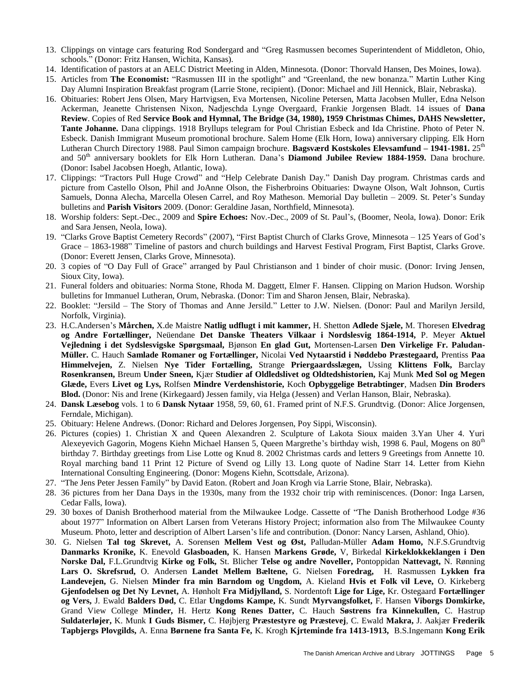- 13. Clippings on vintage cars featuring Rod Sondergard and "Greg Rasmussen becomes Superintendent of Middleton, Ohio, schools." (Donor: Fritz Hansen, Wichita, Kansas).
- 14. Identification of pastors at an AELC District Meeting in Alden, Minnesota. (Donor: Thorvald Hansen, Des Moines, Iowa).
- 15. Articles from **The Economist:** "Rasmussen III in the spotlight" and "Greenland, the new bonanza." Martin Luther King Day Alumni Inspiration Breakfast program (Larrie Stone, recipient). (Donor: Michael and Jill Hennick, Blair, Nebraska).
- 16. Obituaries: Robert Jens Olsen, Mary Hartvigsen, Eva Mortensen, Nicoline Petersen, Matta Jacobsen Muller, Edna Nelson Ackerman, Jeanette Christensen Nixon, Nadjeschda Lynge Overgaard, Frankie Jorgensen Bladt. 14 issues of **Dana Review**. Copies of Red **Service Book and Hymnal, The Bridge (34, 1980), 1959 Christmas Chimes, DAHS Newsletter, Tante Johanne.** Dana clippings. 1918 Bryllups telegram for Poul Christian Esbeck and Ida Christine. Photo of Peter N. Esbeck. Danish Immigrant Museum promotional brochure. Salem Home (Elk Horn, Iowa) anniversary clipping. Elk Horn Lutheran Church Directory 1988. Paul Simon campaign brochure. **Bagsværd Kostskoles Elevsamfund – 1941-1981.** 25th and 50th anniversary booklets for Elk Horn Lutheran. Dana's **Diamond Jubilee Review 1884-1959.** Dana brochure. (Donor: Isabel Jacobsen Hoegh, Atlantic, Iowa).
- 17. Clippings: "Tractors Pull Huge Crowd" and "Help Celebrate Danish Day." Danish Day program. Christmas cards and picture from Castello Olson, Phil and JoAnne Olson, the Fisherbroins Obituaries: Dwayne Olson, Walt Johnson, Curtis Samuels, Donna Alecha, Marcella Olesen Carrel, and Roy Matheson. Memorial Day bulletin – 2009. St. Peter's Sunday bulletins and **Parish Visitors** 2009. (Donor: Geraldine Jasan, Northfield, Minnesota).
- 18. Worship folders: Sept.-Dec., 2009 and **Spire Echoes:** Nov.-Dec., 2009 of St. Paul's, (Boomer, Neola, Iowa). Donor: Erik and Sara Jensen, Neola, Iowa).
- 19. "Clarks Grove Baptist Cemetery Records" (2007), "First Baptist Church of Clarks Grove, Minnesota 125 Years of God's Grace – 1863-1988" Timeline of pastors and church buildings and Harvest Festival Program, First Baptist, Clarks Grove. (Donor: Everett Jensen, Clarks Grove, Minnesota).
- 20. 3 copies of "O Day Full of Grace" arranged by Paul Christianson and 1 binder of choir music. (Donor: Irving Jensen, Sioux City, Iowa).
- 21. Funeral folders and obituaries: Norma Stone, Rhoda M. Daggett, Elmer F. Hansen. Clipping on Marion Hudson. Worship bulletins for Immanuel Lutheran, Orum, Nebraska. (Donor: Tim and Sharon Jensen, Blair, Nebraska).
- 22. Booklet: "Jersild The Story of Thomas and Anne Jersild." Letter to J.W. Nielsen. (Donor: Paul and Marilyn Jersild, Norfolk, Virginia).
- 23. H.C.Andersen's **Mårchen,** X.de Maistre **Natlig udflugt i mit kammer,** H. Shetton **Adlede Sjæle,** M. Thoresen **Elvedrag og Andre Fortællinger,** Neüendane **Det Danske Theaters Vilkaar i Nordslesvig 1864-1914,** P. Meyer **Aktuel Vejledning i det Sydslesvigske Spørgsmaal,** Bjønson **En glad Gut,** Mortensen-Larsen **Den Virkelige Fr. Paludan-Müller.** C. Hauch **Samlade Romaner og Fortællinger,** Nicolai **Ved Nytaarstid i Nøddebo Præstegaard,** Prentiss **Paa Himmelvejen,** Z. Nielsen **Nye Tider Fortælling,** Strange **Priergaardsslægen,** Ussing **Klittens Folk,** Barclay **Rosenkransen,** Breum **Under Sneen,** Kjær **Studier af Oldledslivet og Oldtedshistorien,** Kaj Munk **Med Sol og Megen Glæde,** Evers **Livet og Lys,** Rolfsen **Mindre Verdenshistorie,** Koch **Opbyggelige Betrabtinger**, Madsen **Din Broders Blod.** (Donor: Nis and Irene (Kirkegaard) Jessen family, via Helga (Jessen) and Verlan Hanson, Blair, Nebraska).
- 24. **Dansk Læsebog** vols. 1 to 6 **Dansk Nytaar** 1958, 59, 60, 61. Framed print of N.F.S. Grundtvig. (Donor: Alice Jorgensen, Ferndale, Michigan).
- 25. Obituary: Helene Andrews. (Donor: Richard and Delores Jorgensen, Poy Sippi, Wisconsin).
- 26. Pictures (copies) 1. Christian X and Queen Alexandren 2. Sculpture of Lakota Sioux maiden 3.Yan Uher 4. Yuri Alexeyevich Gagorin, Mogens Kiehn Michael Hansen 5, Queen Margrethe's birthday wish, 1998 6. Paul, Mogens on 80<sup>th</sup> birthday 7. Birthday greetings from Lise Lotte og Knud 8. 2002 Christmas cards and letters 9 Greetings from Annette 10. Royal marching band 11 Print 12 Picture of Svend og Lilly 13. Long quote of Nadine Starr 14. Letter from Kiehn International Consulting Engineering. (Donor: Mogens Kiehn, Scottsdale, Arizona).
- 27. "The Jens Peter Jessen Family" by David Eaton. (Robert and Joan Krogh via Larrie Stone, Blair, Nebraska).
- 28. 36 pictures from her Dana Days in the 1930s, many from the 1932 choir trip with reminiscences. (Donor: Inga Larsen, Cedar Falls, Iowa).
- 29. 30 boxes of Danish Brotherhood material from the Milwaukee Lodge. Cassette of "The Danish Brotherhood Lodge #36 about 1977" Information on Albert Larsen from Veterans History Project; information also from The Milwaukee County Museum. Photo, letter and description of Albert Larsen's life and contribution. (Donor: Nancy Larsen, Ashland, Ohio).
- 30. G. Nielsen **Tal tog Skrevet,** A. Sorensen **Mellem Vest og Øst,** Palludan-Müller **Adam Homo,** N.F.S.Grundtvig **Danmarks Kronike,** K. Enevold **Glasboaden,** K. Hansen **Markens Grøde,** V, Birkedal **Kirkeklokkeklangen i Den Norske Dal,** F.L.Grundtvig **Kirke og Folk,** St. Blicher **Telse og andre Noveller,** Pontoppidan **Nattevagt,** N. Rønning **Lars O. Skrefsrud,** O. Andersen **Landet Mellem Bæltene,** G. Nielsen **Foredrag,** H. Rasmussen **Lykken fra Landevejen,** G. Nielsen **Minder fra min Barndom og Ungdom,** A. Kieland **Hvis et Folk vil Leve,** O. Kirkeberg **Gjenfodelsen og Det Ny Levnet,** A. Hønholt **Fra Midjylland,** S. Nordentoft **Lige for Lige,** Kr. Ostegaard **Fortællinger og Vers,** J. Ewald **Balders Død,** C. Etlar **Ungdoms Kampe,** K. Sundt **Myrvangsfolket,** F. Hansen **Viborgs Domkirke,**  Grand View College **Minder,** H. Hertz **Kong Renes Datter,** C. Hauch **Søstrens fra Kinnekullen,** C. Hastrup **Suldaterløjer,** K. Munk **I Guds Bismer,** C. Højbjerg **Præstestyre og Præstevej**, C. Ewald **Makra,** J. Aakjær **Frederik Tapbjergs Plovgilds,** A. Enna **Børnene fra Santa Fe,** K. Krogh **Kjrteminde fra 1413-1913,** B.S.Ingemann **Kong Erik**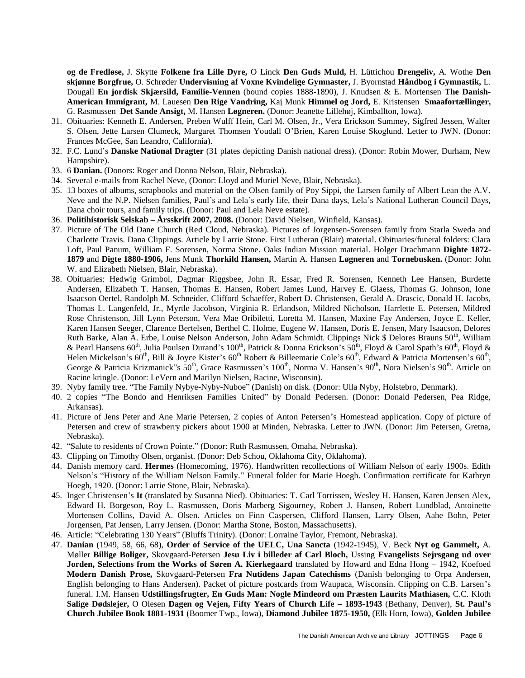**og de Fredløse,** J. Skytte **Folkene fra Lille Dyre,** O Linck **Den Guds Muld,** H. Lüttichou **Drengeliv,** A. Wothe **Den skjønne Borgfrue,** O. Schrøder **Undervisning af Voxne Kvindelige Gymnaster,** J. Byornstad **Håndbog i Gymnastik,** L. Dougall **En jordisk Skjærsild, Familie-Vennen** (bound copies 1888-1890), J. Knudsen & E. Mortensen **The Danish-American Immigrant,** M. Lauesen **Den Rige Vandring,** Kaj Munk **Himmel og Jord,** E. Kristensen **Smaafortællinger,**  G. Rasmussen **Det Sande Ansigt,** M. Hansen **Løgneren.** (Donor: Jeanette Lillehøj, Kimballton, Iowa).

- 31. Obituaries: Kenneth E. Andersen, Preben Wulff Hein, Carl M. Olsen, Jr., Vera Erickson Summey, Sigfred Jessen, Walter S. Olsen, Jette Larsen Clumeck, Margaret Thomsen Youdall O'Brien, Karen Louise Skoglund. Letter to JWN. (Donor: Frances McGee, San Leandro, California).
- 32. F.C. Lund's **Danske National Dragter** (31 plates depicting Danish national dress). (Donor: Robin Mower, Durham, New Hampshire).
- 33. 6 **Danian.** (Donors: Roger and Donna Nelson, Blair, Nebraska).
- 34. Several e-mails from Rachel Neve, (Donor: Lloyd and Muriel Neve, Blair, Nebraska).
- 35. 13 boxes of albums, scrapbooks and material on the Olsen family of Poy Sippi, the Larsen family of Albert Lean the A.V. Neve and the N.P. Nielsen families, Paul's and Lela's early life, their Dana days, Lela's National Lutheran Council Days, Dana choir tours, and family trips. (Donor: Paul and Lela Neve estate).
- 36. **Politihistorisk Selskab – Årsskrift 2007, 2008.** (Donor: David Nielsen, Winfield, Kansas).
- 37. Picture of The Old Dane Church (Red Cloud, Nebraska). Pictures of Jorgensen-Sorensen family from Starla Sweda and Charlotte Travis. Dana Clippings. Article by Larrie Stone. First Lutheran (Blair) material. Obituaries/funeral folders: Clara Loft, Paul Panum, William F. Sorensen, Norma Stone. Oaks Indian Mission material. Holger Drachmann **Dighte 1872- 1879** and **Digte 1880-1906,** Jens Munk **Thorkild Hansen,** Martin A. Hansen **Løgneren** and **Tornebusken.** (Donor: John W. and Elizabeth Nielsen, Blair, Nebraska).
- 38. Obituaries: Hedwig Grimbol, Dagmar Riggsbee, John R. Essar, Fred R. Sorensen, Kenneth Lee Hansen, Burdette Andersen, Elizabeth T. Hansen, Thomas E. Hansen, Robert James Lund, Harvey E. Glaess, Thomas G. Johnson, Ione Isaacson Oertel, Randolph M. Schneider, Clifford Schaeffer, Robert D. Christensen, Gerald A. Drascic, Donald H. Jacobs, Thomas L. Langenfeld, Jr., Myrtle Jacobson, Virginia R. Erlandson, Mildred Nicholson, Harrlette E. Petersen, Mildred Rose Christenson, Jill Lynn Peterson, Vera Mae Oribiletti, Loretta M. Hansen, Maxine Fay Andersen, Joyce E. Keller, Karen Hansen Seeger, Clarence Bertelsen, Berthel C. Holme, Eugene W. Hansen, Doris E. Jensen, Mary Isaacson, Delores Ruth Barke, Alan A. Erbe, Louise Nelson Anderson, John Adam Schmidt. Clippings Nick \$ Delores Brauns 50<sup>th</sup>, William & Pearl Hansens 60<sup>th</sup>, Julia Poulsen Durand's 100<sup>th</sup>, Patrick & Donna Erickson<sup>'s</sup>s 50<sup>th</sup>, Floyd & Carol Spath's 60<sup>th</sup>, Floyd & Helen Mickelson's 60<sup>th</sup>, Bill & Joyce Kister's 60<sup>th</sup> Robert & Billeemarie Cole's 60<sup>th</sup>, Edward & Patricia Mortensen's 60<sup>th</sup>, George & Patricia Krizmanick"s 50<sup>th</sup>, Grace Rasmussen's 100<sup>th</sup>, Norma V. Hansen's 90<sup>th</sup>, Nora Nielsen's 90<sup>th</sup>. Article on Racine kringle. (Donor: LeVern and Marilyn Nielsen, Racine, Wisconsin).
- 39. Nyby family tree. "The Family Nybye-Nyby-Nuboe" (Danish) on disk. (Donor: Ulla Nyby, Holstebro, Denmark).
- 40. 2 copies "The Bondo and Henriksen Families United" by Donald Pedersen. (Donor: Donald Pedersen, Pea Ridge, Arkansas).
- 41. Picture of Jens Peter and Ane Marie Petersen, 2 copies of Anton Petersen's Homestead application. Copy of picture of Petersen and crew of strawberry pickers about 1900 at Minden, Nebraska. Letter to JWN. (Donor: Jim Petersen, Gretna, Nebraska).
- 42. "Salute to residents of Crown Pointe." (Donor: Ruth Rasmussen, Omaha, Nebraska).
- 43. Clipping on Timothy Olsen, organist. (Donor: Deb Schou, Oklahoma City, Oklahoma).
- 44. Danish memory card. **Hermes** (Homecoming, 1976). Handwritten recollections of William Nelson of early 1900s. Edith Nelson's "History of the William Nelson Family." Funeral folder for Marie Hoegh. Confirmation certificate for Kathryn Hoegh, 1920. (Donor: Larrie Stone, Blair, Nebraska).
- 45. Inger Christensen's **It** (translated by Susanna Nied). Obituaries: T. Carl Torrissen, Wesley H. Hansen, Karen Jensen Alex, Edward H. Borgeson, Roy L. Rasmussen, Doris Marberg Sigourney, Robert J. Hansen, Robert Lundblad, Antoinette Mortensen Collins, David A. Olsen. Articles on Finn Caspersen, Clifford Hansen, Larry Olsen, Aahe Bohn, Peter Jorgensen, Pat Jensen, Larry Jensen. (Donor: Martha Stone, Boston, Massachusetts).
- 46. Article: "Celebrating 130 Years" (Bluffs Trinity). (Donor: Lorraine Taylor, Fremont, Nebraska).
- 47. **Danian** (1949, 58, 66, 68), **Order of Service of the UELC, Una Sancta** (1942-1945), V. Beck **Nyt og Gammelt,** A. Møller **Billige Boliger,** Skovgaard-Petersen **Jesu Liv i billeder af Carl Bloch,** Ussing **Evangelists Sejrsgang ud over Jorden, Selections from the Works of Søren A. Kierkegaard** translated by Howard and Edna Hong – 1942, Koefoed **Modern Danish Prose,** Skovgaard-Petersen **Fra Nutidens Japan Catechisms** (Danish belonging to Orpa Andersen, English belonging to Hans Andersen). Packet of picture postcards from Waupaca, Wisconsin. Clipping on C.B. Larsen's funeral. I.M. Hansen **Udstillingsfrugter, En Guds Man: Nogle Mindeord om Præsten Laurits Mathiasen,** C.C. Kloth **Salige Dødslejer,** O Olesen **Dagen og Vejen, Fifty Years of Church Life – 1893-1943** (Bethany, Denver), **St. Paul's Church Jubilee Book 1881-1931** (Boomer Twp., Iowa), **Diamond Jubilee 1875-1950,** (Elk Horn, Iowa), **Golden Jubilee**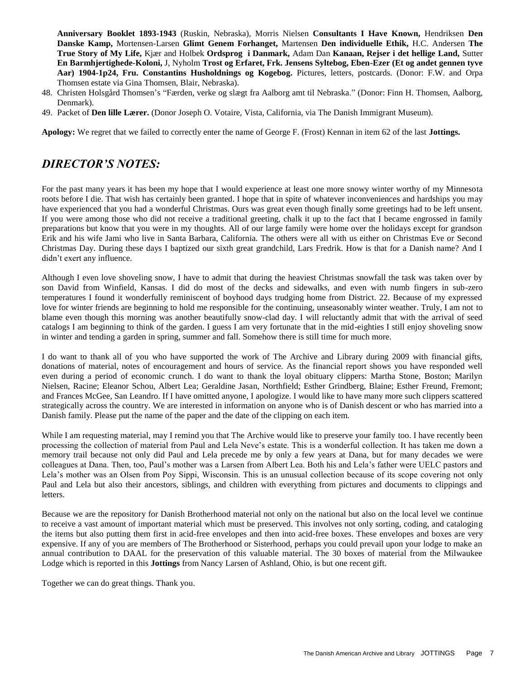**Anniversary Booklet 1893-1943** (Ruskin, Nebraska), Morris Nielsen **Consultants I Have Known,** Hendriksen **Den Danske Kamp,** Mortensen-Larsen **Glimt Genem Forhanget,** Martensen **Den individuelle Ethik,** H.C. Andersen **The True Story of My Life,** Kjær and Holbek **Ordsprog i Danmark,** Adam Dan **Kanaan, Rejser i det hellige Land,** Sutter **En Barmhjertighede-Koloni,** J, Nyholm **Trost og Erfaret, Frk. Jensens Syltebog, Eben-Ezer (Et og andet gennen tyve Aar) 1904-1p24, Fru. Constantins Husholdnings og Kogebog.** Pictures, letters, postcards. (Donor: F.W. and Orpa Thomsen estate via Gina Thomsen, Blair, Nebraska).

- 48. Christen Holsgård Thomsen's "Færden, verke og slægt fra Aalborg amt til Nebraska." (Donor: Finn H. Thomsen, Aalborg, Denmark).
- 49. Packet of **Den lille Lærer.** (Donor Joseph O. Votaire, Vista, California, via The Danish Immigrant Museum).

**Apology:** We regret that we failed to correctly enter the name of George F. (Frost) Kennan in item 62 of the last **Jottings.**

# *DIRECTOR'S NOTES:*

For the past many years it has been my hope that I would experience at least one more snowy winter worthy of my Minnesota roots before I die. That wish has certainly been granted. I hope that in spite of whatever inconveniences and hardships you may have experienced that you had a wonderful Christmas. Ours was great even though finally some greetings had to be left unsent. If you were among those who did not receive a traditional greeting, chalk it up to the fact that I became engrossed in family preparations but know that you were in my thoughts. All of our large family were home over the holidays except for grandson Erik and his wife Jami who live in Santa Barbara, California. The others were all with us either on Christmas Eve or Second Christmas Day. During these days I baptized our sixth great grandchild, Lars Fredrik. How is that for a Danish name? And I didn't exert any influence.

Although I even love shoveling snow, I have to admit that during the heaviest Christmas snowfall the task was taken over by son David from Winfield, Kansas. I did do most of the decks and sidewalks, and even with numb fingers in sub-zero temperatures I found it wonderfully reminiscent of boyhood days trudging home from District. 22. Because of my expressed love for winter friends are beginning to hold me responsible for the continuing, unseasonably winter weather. Truly, I am not to blame even though this morning was another beautifully snow-clad day. I will reluctantly admit that with the arrival of seed catalogs I am beginning to think of the garden. I guess I am very fortunate that in the mid-eighties I still enjoy shoveling snow in winter and tending a garden in spring, summer and fall. Somehow there is still time for much more.

I do want to thank all of you who have supported the work of The Archive and Library during 2009 with financial gifts, donations of material, notes of encouragement and hours of service. As the financial report shows you have responded well even during a period of economic crunch. I do want to thank the loyal obituary clippers: Martha Stone, Boston; Marilyn Nielsen, Racine; Eleanor Schou, Albert Lea; Geraldine Jasan, Northfield; Esther Grindberg, Blaine; Esther Freund, Fremont; and Frances McGee, San Leandro. If I have omitted anyone, I apologize. I would like to have many more such clippers scattered strategically across the country. We are interested in information on anyone who is of Danish descent or who has married into a Danish family. Please put the name of the paper and the date of the clipping on each item.

While I am requesting material, may I remind you that The Archive would like to preserve your family too. I have recently been processing the collection of material from Paul and Lela Neve's estate. This is a wonderful collection. It has taken me down a memory trail because not only did Paul and Lela precede me by only a few years at Dana, but for many decades we were colleagues at Dana. Then, too, Paul's mother was a Larsen from Albert Lea. Both his and Lela's father were UELC pastors and Lela's mother was an Olsen from Poy Sippi, Wisconsin. This is an unusual collection because of its scope covering not only Paul and Lela but also their ancestors, siblings, and children with everything from pictures and documents to clippings and letters.

Because we are the repository for Danish Brotherhood material not only on the national but also on the local level we continue to receive a vast amount of important material which must be preserved. This involves not only sorting, coding, and cataloging the items but also putting them first in acid-free envelopes and then into acid-free boxes. These envelopes and boxes are very expensive. If any of you are members of The Brotherhood or Sisterhood, perhaps you could prevail upon your lodge to make an annual contribution to DAAL for the preservation of this valuable material. The 30 boxes of material from the Milwaukee Lodge which is reported in this **Jottings** from Nancy Larsen of Ashland, Ohio, is but one recent gift.

Together we can do great things. Thank you.